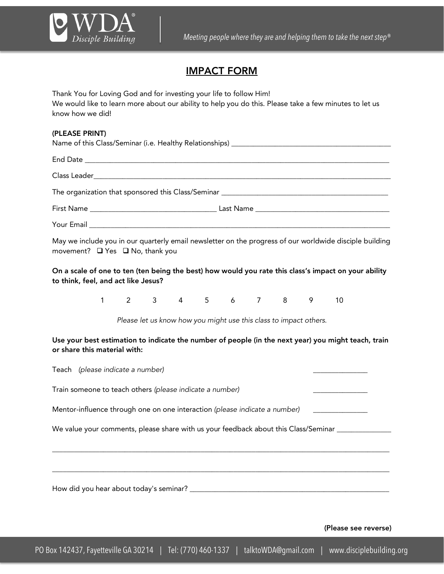

## IMPACT FORM

Thank You for Loving God and for investing your life to follow Him! We would like to learn more about our ability to help you do this. Please take a few minutes to let us know how we did!

## (PLEASE PRINT)

| movement? $\Box$ Yes $\Box$ No, thank you | May we include you in our quarterly email newsletter on the progress of our worldwide disciple building |
|-------------------------------------------|---------------------------------------------------------------------------------------------------------|

On a scale of one to ten (ten being the best) how would you rate this class's impact on your ability to think, feel, and act like Jesus?

1 2 3 4 5 6 7 8 9 10

*Please let us know how you might use this class to impact others.*

Use your best estimation to indicate the number of people (in the next year) you might teach, train or share this material with:

| Teach (please indicate a number)                                                           |  |
|--------------------------------------------------------------------------------------------|--|
| Train someone to teach others (please indicate a number)                                   |  |
| Mentor-influence through one on one interaction (please indicate a number)                 |  |
| We value your comments, please share with us your feedback about this Class/Seminar ______ |  |
|                                                                                            |  |
|                                                                                            |  |
| How did you hear about today's seminar? ___                                                |  |

(Please see reverse)